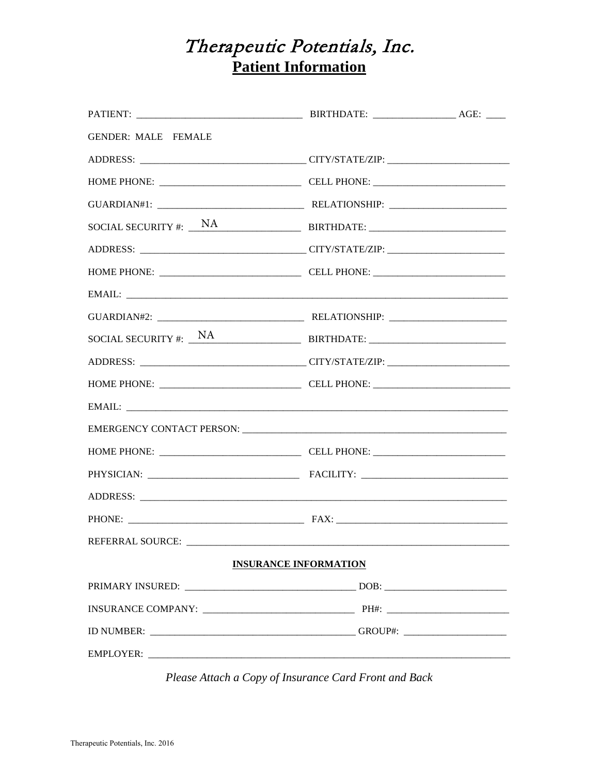# Therapeutic Potentials, Inc. Patient Information

| <b>GENDER: MALE FEMALE</b>                                                                                                                                                                                                     |                              |  |
|--------------------------------------------------------------------------------------------------------------------------------------------------------------------------------------------------------------------------------|------------------------------|--|
|                                                                                                                                                                                                                                |                              |  |
|                                                                                                                                                                                                                                |                              |  |
|                                                                                                                                                                                                                                |                              |  |
|                                                                                                                                                                                                                                |                              |  |
|                                                                                                                                                                                                                                |                              |  |
|                                                                                                                                                                                                                                |                              |  |
| EMAIL: New York Contract the Contract of the Contract of the Contract of the Contract of the Contract of the Contract of the Contract of the Contract of the Contract of the Contract of the Contract of the Contract of the C |                              |  |
|                                                                                                                                                                                                                                |                              |  |
|                                                                                                                                                                                                                                |                              |  |
|                                                                                                                                                                                                                                |                              |  |
|                                                                                                                                                                                                                                |                              |  |
|                                                                                                                                                                                                                                |                              |  |
|                                                                                                                                                                                                                                |                              |  |
|                                                                                                                                                                                                                                |                              |  |
|                                                                                                                                                                                                                                |                              |  |
|                                                                                                                                                                                                                                |                              |  |
|                                                                                                                                                                                                                                |                              |  |
| REFERRAL SOURCE: _______                                                                                                                                                                                                       |                              |  |
|                                                                                                                                                                                                                                | <b>INSURANCE INFORMATION</b> |  |
|                                                                                                                                                                                                                                |                              |  |
|                                                                                                                                                                                                                                |                              |  |
|                                                                                                                                                                                                                                |                              |  |
|                                                                                                                                                                                                                                |                              |  |

Please Attach a Copy of Insurance Card Front and Back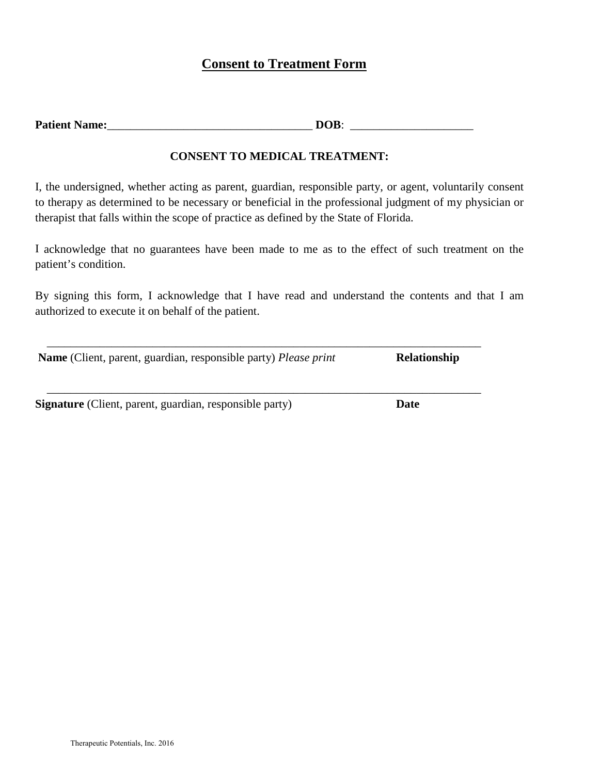## **Consent to Treatment Form**

| <b>Patient Name:</b><br>DOR |  |
|-----------------------------|--|
|-----------------------------|--|

## **CONSENT TO MEDICAL TREATMENT:**

I, the undersigned, whether acting as parent, guardian, responsible party, or agent, voluntarily consent to therapy as determined to be necessary or beneficial in the professional judgment of my physician or therapist that falls within the scope of practice as defined by the State of Florida.

I acknowledge that no guarantees have been made to me as to the effect of such treatment on the patient's condition.

By signing this form, I acknowledge that I have read and understand the contents and that I am authorized to execute it on behalf of the patient.

\_\_\_\_\_\_\_\_\_\_\_\_\_\_\_\_\_\_\_\_\_\_\_\_\_\_\_\_\_\_\_\_\_\_\_\_\_\_\_\_\_\_\_\_\_\_\_\_\_\_\_\_\_\_\_\_\_\_\_\_\_\_\_\_\_\_\_\_\_\_\_\_\_\_

\_\_\_\_\_\_\_\_\_\_\_\_\_\_\_\_\_\_\_\_\_\_\_\_\_\_\_\_\_\_\_\_\_\_\_\_\_\_\_\_\_\_\_\_\_\_\_\_\_\_\_\_\_\_\_\_\_\_\_\_\_\_\_\_\_\_\_\_\_\_\_\_\_\_

**Name** (Client, parent, guardian, responsible party) *Please print* **Relationship** 

**Signature** (Client, parent, guardian, responsible party) **Date**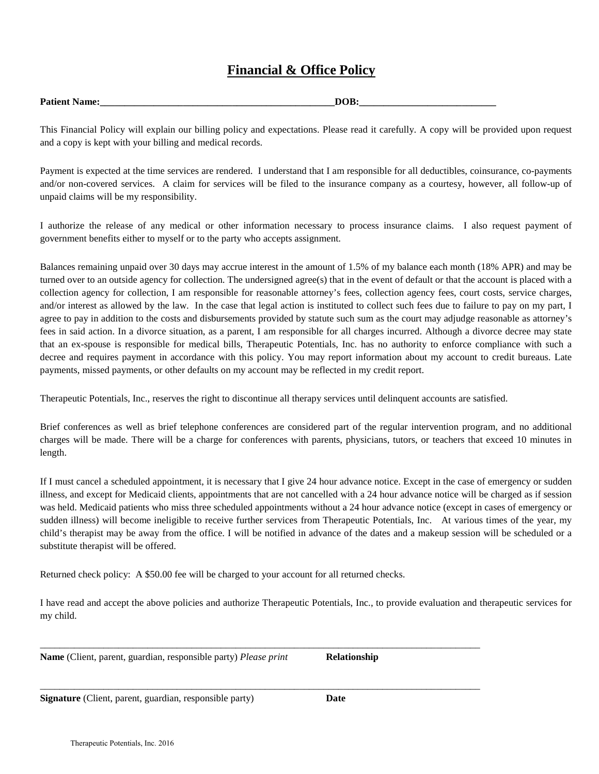## **Financial & Office Policy**

| Patient<br>Name:<br>епг | $\Omega$<br>M |
|-------------------------|---------------|
|                         |               |

This Financial Policy will explain our billing policy and expectations. Please read it carefully. A copy will be provided upon request and a copy is kept with your billing and medical records.

Payment is expected at the time services are rendered. I understand that I am responsible for all deductibles, coinsurance, co-payments and/or non-covered services. A claim for services will be filed to the insurance company as a courtesy, however, all follow-up of unpaid claims will be my responsibility.

I authorize the release of any medical or other information necessary to process insurance claims. I also request payment of government benefits either to myself or to the party who accepts assignment.

Balances remaining unpaid over 30 days may accrue interest in the amount of 1.5% of my balance each month (18% APR) and may be turned over to an outside agency for collection. The undersigned agree(s) that in the event of default or that the account is placed with a collection agency for collection, I am responsible for reasonable attorney's fees, collection agency fees, court costs, service charges, and/or interest as allowed by the law. In the case that legal action is instituted to collect such fees due to failure to pay on my part, I agree to pay in addition to the costs and disbursements provided by statute such sum as the court may adjudge reasonable as attorney's fees in said action. In a divorce situation, as a parent, I am responsible for all charges incurred. Although a divorce decree may state that an ex-spouse is responsible for medical bills, Therapeutic Potentials, Inc. has no authority to enforce compliance with such a decree and requires payment in accordance with this policy. You may report information about my account to credit bureaus. Late payments, missed payments, or other defaults on my account may be reflected in my credit report.

Therapeutic Potentials, Inc., reserves the right to discontinue all therapy services until delinquent accounts are satisfied.

Brief conferences as well as brief telephone conferences are considered part of the regular intervention program, and no additional charges will be made. There will be a charge for conferences with parents, physicians, tutors, or teachers that exceed 10 minutes in length.

If I must cancel a scheduled appointment, it is necessary that I give 24 hour advance notice. Except in the case of emergency or sudden illness, and except for Medicaid clients, appointments that are not cancelled with a 24 hour advance notice will be charged as if session was held. Medicaid patients who miss three scheduled appointments without a 24 hour advance notice (except in cases of emergency or sudden illness) will become ineligible to receive further services from Therapeutic Potentials, Inc. At various times of the year, my child's therapist may be away from the office. I will be notified in advance of the dates and a makeup session will be scheduled or a substitute therapist will be offered.

Returned check policy: A \$50.00 fee will be charged to your account for all returned checks.

\_\_\_\_\_\_\_\_\_\_\_\_\_\_\_\_\_\_\_\_\_\_\_\_\_\_\_\_\_\_\_\_\_\_\_\_\_\_\_\_\_\_\_\_\_\_\_\_\_\_\_\_\_\_\_\_\_\_\_\_\_\_\_\_\_\_\_\_\_\_\_\_\_\_\_\_\_\_\_\_\_\_\_\_\_\_\_\_\_\_

\_\_\_\_\_\_\_\_\_\_\_\_\_\_\_\_\_\_\_\_\_\_\_\_\_\_\_\_\_\_\_\_\_\_\_\_\_\_\_\_\_\_\_\_\_\_\_\_\_\_\_\_\_\_\_\_\_\_\_\_\_\_\_\_\_\_\_\_\_\_\_\_\_\_\_\_\_\_\_\_\_\_\_\_\_\_\_\_\_\_

I have read and accept the above policies and authorize Therapeutic Potentials, Inc., to provide evaluation and therapeutic services for my child.

**Name** (Client, parent, guardian, responsible party) *Please print* **Relationship**

**Signature** (Client, parent, guardian, responsible party) **Date**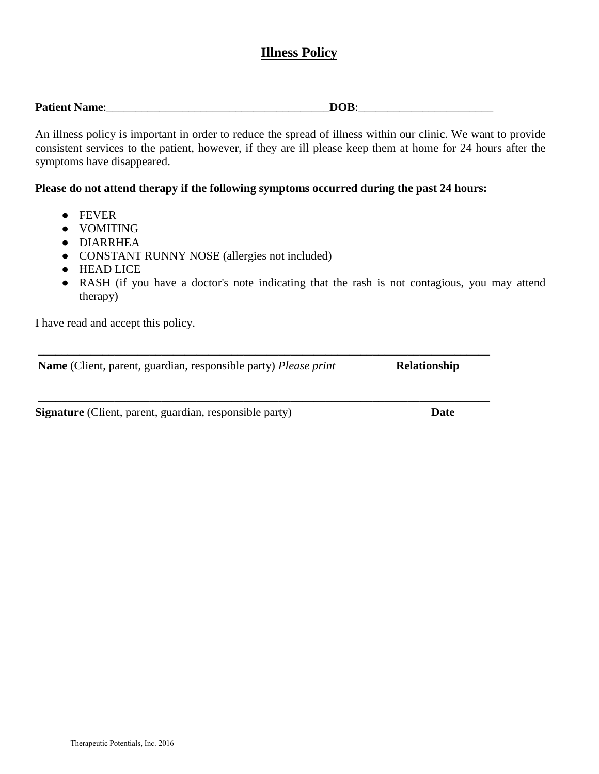# **Illness Policy**

| <b>Patient Name:</b> | <b>OB.</b><br>V |
|----------------------|-----------------|
|                      |                 |

An illness policy is important in order to reduce the spread of illness within our clinic. We want to provide consistent services to the patient, however, if they are ill please keep them at home for 24 hours after the symptoms have disappeared.

## **Please do not attend therapy if the following symptoms occurred during the past 24 hours:**

\_\_\_\_\_\_\_\_\_\_\_\_\_\_\_\_\_\_\_\_\_\_\_\_\_\_\_\_\_\_\_\_\_\_\_\_\_\_\_\_\_\_\_\_\_\_\_\_\_\_\_\_\_\_\_\_\_\_\_\_\_\_\_\_\_\_\_\_\_\_\_\_\_\_\_\_\_

- FEVER
- VOMITING
- DIARRHEA
- CONSTANT RUNNY NOSE (allergies not included)
- HEAD LICE
- RASH (if you have a doctor's note indicating that the rash is not contagious, you may attend therapy)

I have read and accept this policy.

**Name** (Client, parent, guardian, responsible party) *Please print* **Relationship** 

**Signature** (Client, parent, guardian, responsible party) **Date**

\_\_\_\_\_\_\_\_\_\_\_\_\_\_\_\_\_\_\_\_\_\_\_\_\_\_\_\_\_\_\_\_\_\_\_\_\_\_\_\_\_\_\_\_\_\_\_\_\_\_\_\_\_\_\_\_\_\_\_\_\_\_\_\_\_\_\_\_\_\_\_\_\_\_\_\_\_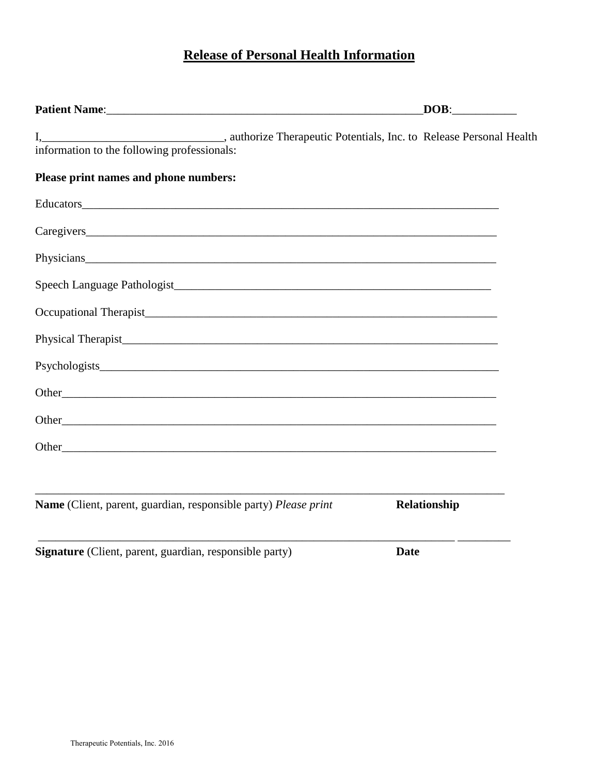# **Release of Personal Health Information**

|                                                                                                                                                                                                                               | DOB:         |
|-------------------------------------------------------------------------------------------------------------------------------------------------------------------------------------------------------------------------------|--------------|
|                                                                                                                                                                                                                               |              |
|                                                                                                                                                                                                                               |              |
| Please print names and phone numbers:                                                                                                                                                                                         |              |
|                                                                                                                                                                                                                               |              |
|                                                                                                                                                                                                                               |              |
| Physicians experience and the contract of the contract of the contract of the contract of the contract of the contract of the contract of the contract of the contract of the contract of the contract of the contract of the |              |
|                                                                                                                                                                                                                               |              |
|                                                                                                                                                                                                                               |              |
|                                                                                                                                                                                                                               |              |
|                                                                                                                                                                                                                               |              |
|                                                                                                                                                                                                                               |              |
|                                                                                                                                                                                                                               |              |
|                                                                                                                                                                                                                               |              |
|                                                                                                                                                                                                                               |              |
| Name (Client, parent, guardian, responsible party) Please print                                                                                                                                                               | Relationship |
| Signature (Client, parent, guardian, responsible party)                                                                                                                                                                       | Date         |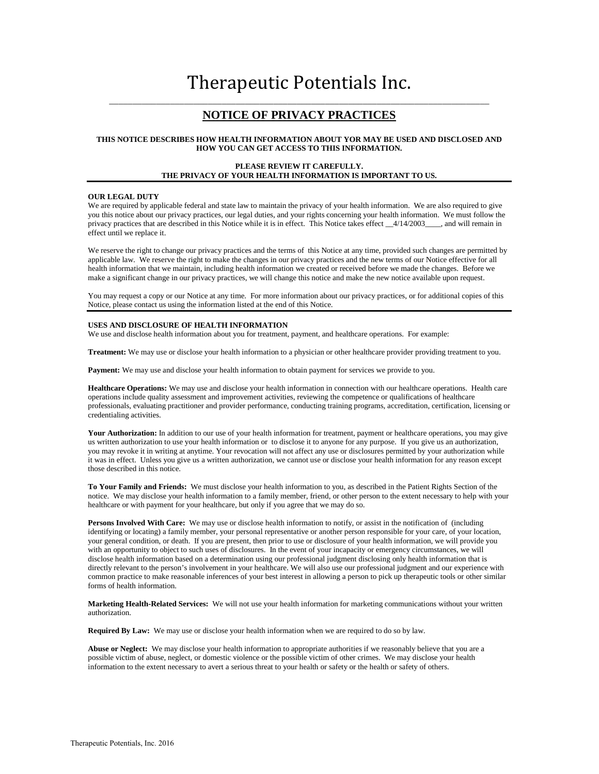# Therapeutic Potentials Inc.

## **NOTICE OF PRIVACY PRACTICES**

#### **THIS NOTICE DESCRIBES HOW HEALTH INFORMATION ABOUT YOR MAY BE USED AND DISCLOSED AND HOW YOU CAN GET ACCESS TO THIS INFORMATION.**

#### **PLEASE REVIEW IT CAREFULLY. THE PRIVACY OF YOUR HEALTH INFORMATION IS IMPORTANT TO US.**

#### **OUR LEGAL DUTY**

We are required by applicable federal and state law to maintain the privacy of your health information. We are also required to give you this notice about our privacy practices, our legal duties, and your rights concerning your health information. We must follow the privacy practices that are described in this Notice while it is in effect. This Notice t privacy practices that are described in this Notice while it is in effect. This Notice takes effect  $\_\_4/14/2003\_\_$ effect until we replace it.

We reserve the right to change our privacy practices and the terms of this Notice at any time, provided such changes are permitted by applicable law. We reserve the right to make the changes in our privacy practices and the new terms of our Notice effective for all health information that we maintain, including health information we created or received before we made the changes. Before we make a significant change in our privacy practices, we will change this notice and make the new notice available upon request.

You may request a copy or our Notice at any time. For more information about our privacy practices, or for additional copies of this Notice, please contact us using the information listed at the end of this Notice.

#### **USES AND DISCLOSURE OF HEALTH INFORMATION**

We use and disclose health information about you for treatment, payment, and healthcare operations. For example:

**Treatment:** We may use or disclose your health information to a physician or other healthcare provider providing treatment to you.

**Payment:** We may use and disclose your health information to obtain payment for services we provide to you.

**Healthcare Operations:** We may use and disclose your health information in connection with our healthcare operations. Health care operations include quality assessment and improvement activities, reviewing the competence or qualifications of healthcare professionals, evaluating practitioner and provider performance, conducting training programs, accreditation, certification, licensing or credentialing activities.

Your Authorization: In addition to our use of your health information for treatment, payment or healthcare operations, you may give us written authorization to use your health information or to disclose it to anyone for any purpose. If you give us an authorization, you may revoke it in writing at anytime. Your revocation will not affect any use or disclosures permitted by your authorization while it was in effect. Unless you give us a written authorization, we cannot use or disclose your health information for any reason except those described in this notice.

**To Your Family and Friends:** We must disclose your health information to you, as described in the Patient Rights Section of the notice. We may disclose your health information to a family member, friend, or other person to the extent necessary to help with your healthcare or with payment for your healthcare, but only if you agree that we may do so.

**Persons Involved With Care:** We may use or disclose health information to notify, or assist in the notification of (including identifying or locating) a family member, your personal representative or another person responsible for your care, of your location, your general condition, or death. If you are present, then prior to use or disclosure of your health information, we will provide you with an opportunity to object to such uses of disclosures. In the event of your incapacity or emergency circumstances, we will disclose health information based on a determination using our professional judgment disclosing only health information that is directly relevant to the person's involvement in your healthcare. We will also use our professional judgment and our experience with common practice to make reasonable inferences of your best interest in allowing a person to pick up therapeutic tools or other similar forms of health information.

**Marketing Health-Related Services:** We will not use your health information for marketing communications without your written authorization.

**Required By Law:** We may use or disclose your health information when we are required to do so by law.

**Abuse or Neglect:** We may disclose your health information to appropriate authorities if we reasonably believe that you are a possible victim of abuse, neglect, or domestic violence or the possible victim of other crimes. We may disclose your health information to the extent necessary to avert a serious threat to your health or safety or the health or safety of others.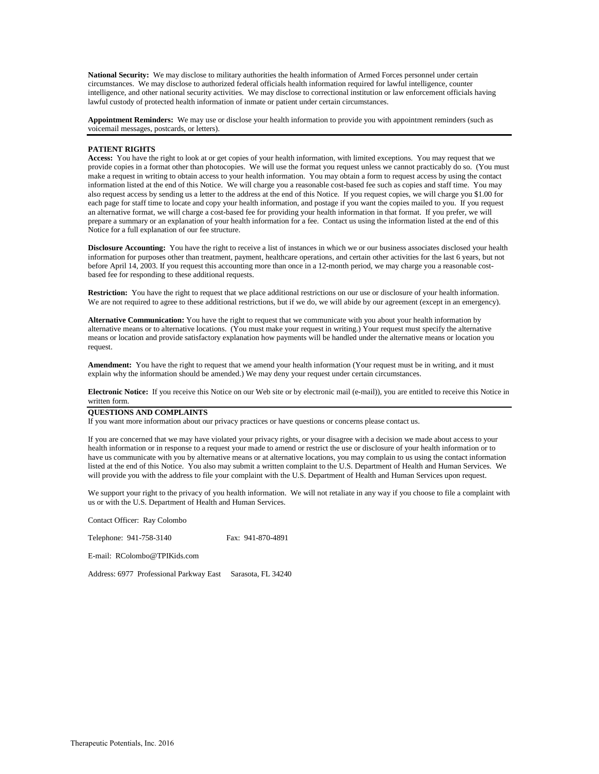National Security: We may disclose to military authorities the health information of Armed Forces personnel under certain circumstances. We may disclose to authorized federal officials health information required for lawful intelligence, counter intelligence, and other national security activities. We may disclose to correctional institution or law enforcement officials having lawful custody of protected health information of inmate or patient under certain circumstances.

**Appointment Reminders:** We may use or disclose your health information to provide you with appointment reminders (such as voicemail messages, postcards, or letters).

#### **PATIENT RIGHTS**

**Access:** You have the right to look at or get copies of your health information, with limited exceptions. You may request that we provide copies in a format other than photocopies. We will use the format you request unless we cannot practicably do so. (You must make a request in writing to obtain access to your health information. You may obtain a form to request access by using the contact information listed at the end of this Notice. We will charge you a reasonable cost-based fee such as copies and staff time. You may also request access by sending us a letter to the address at the end of this Notice. If you request copies, we will charge you \$1.00 for each page for staff time to locate and copy your health information, and postage if you want the copies mailed to you. If you request an alternative format, we will charge a cost-based fee for providing your health information in that format. If you prefer, we will prepare a summary or an explanation of your health information for a fee. Contact us using the information listed at the end of this Notice for a full explanation of our fee structure.

**Disclosure Accounting:** You have the right to receive a list of instances in which we or our business associates disclosed your health information for purposes other than treatment, payment, healthcare operations, and certain other activities for the last 6 years, but not before April 14, 2003. If you request this accounting more than once in a 12-month period, we may charge you a reasonable costbased fee for responding to these additional requests.

**Restriction:** You have the right to request that we place additional restrictions on our use or disclosure of your health information. We are not required to agree to these additional restrictions, but if we do, we will abide by our agreement (except in an emergency).

**Alternative Communication:** You have the right to request that we communicate with you about your health information by alternative means or to alternative locations. (You must make your request in writing.) Your request must specify the alternative means or location and provide satisfactory explanation how payments will be handled under the alternative means or location you request.

**Amendment:** You have the right to request that we amend your health information (Your request must be in writing, and it must explain why the information should be amended.) We may deny your request under certain circumstances.

**Electronic Notice:** If you receive this Notice on our Web site or by electronic mail (e-mail)), you are entitled to receive this Notice in written form.

#### **QUESTIONS AND COMPLAINTS**

If you want more information about our privacy practices or have questions or concerns please contact us.

If you are concerned that we may have violated your privacy rights, or your disagree with a decision we made about access to your health information or in response to a request your made to amend or restrict the use or disclosure of your health information or to have us communicate with you by alternative means or at alternative locations, you may complain to us using the contact information listed at the end of this Notice. You also may submit a written complaint to the U.S. Department of Health and Human Services. We will provide you with the address to file your complaint with the U.S. Department of Health and Human Services upon request.

We support your right to the privacy of you health information. We will not retaliate in any way if you choose to file a complaint with us or with the U.S. Department of Health and Human Services.

Contact Officer: Ray Colombo

Telephone: 941-758-3140 Fax: 941-870-4891

E-mail: RColombo@TPIKids.com

Address: 6977 Professional Parkway East Sarasota, FL 34240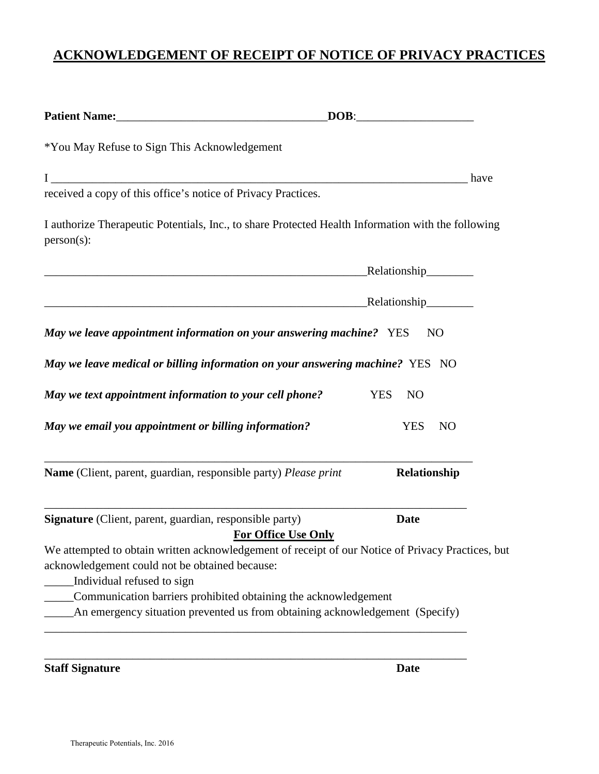# **ACKNOWLEDGEMENT OF RECEIPT OF NOTICE OF PRIVACY PRACTICES**

| $\overline{\text{DOB}}$ :<br>Patient Name:<br><u>Letter and the substitute of the substitute of the substitute of the substitute of the substitute of the substitute of the substitute of the substitute of the substitute of the substitute of the substitute </u> |                              |  |  |
|---------------------------------------------------------------------------------------------------------------------------------------------------------------------------------------------------------------------------------------------------------------------|------------------------------|--|--|
| *You May Refuse to Sign This Acknowledgement                                                                                                                                                                                                                        |                              |  |  |
| $\mathbf{I}$<br><u> 2000 - 2000 - 2000 - 2000 - 2000 - 2000 - 2000 - 2000 - 2000 - 2000 - 2000 - 2000 - 2000 - 2000 - 2000 - 200</u>                                                                                                                                | have                         |  |  |
| received a copy of this office's notice of Privacy Practices.                                                                                                                                                                                                       |                              |  |  |
| I authorize Therapeutic Potentials, Inc., to share Protected Health Information with the following<br>$person(s)$ :                                                                                                                                                 |                              |  |  |
|                                                                                                                                                                                                                                                                     |                              |  |  |
|                                                                                                                                                                                                                                                                     |                              |  |  |
| May we leave appointment information on your answering machine? YES                                                                                                                                                                                                 | N <sub>O</sub>               |  |  |
| May we leave medical or billing information on your answering machine? YES NO                                                                                                                                                                                       |                              |  |  |
| May we text appointment information to your cell phone?                                                                                                                                                                                                             | <b>YES</b><br>N <sub>O</sub> |  |  |
| May we email you appointment or billing information?                                                                                                                                                                                                                | <b>YES</b><br>N <sub>O</sub> |  |  |
| Name (Client, parent, guardian, responsible party) Please print                                                                                                                                                                                                     | Relationship                 |  |  |
| Signature (Client, parent, guardian, responsible party)<br><b>For Office Use Only</b>                                                                                                                                                                               | <b>Date</b>                  |  |  |
| We attempted to obtain written acknowledgement of receipt of our Notice of Privacy Practices, but<br>acknowledgement could not be obtained because:                                                                                                                 |                              |  |  |
| Individual refused to sign                                                                                                                                                                                                                                          |                              |  |  |
| Communication barriers prohibited obtaining the acknowledgement<br>An emergency situation prevented us from obtaining acknowledgement (Specify)                                                                                                                     |                              |  |  |
|                                                                                                                                                                                                                                                                     |                              |  |  |
| <b>Staff Signature</b>                                                                                                                                                                                                                                              | <b>Date</b>                  |  |  |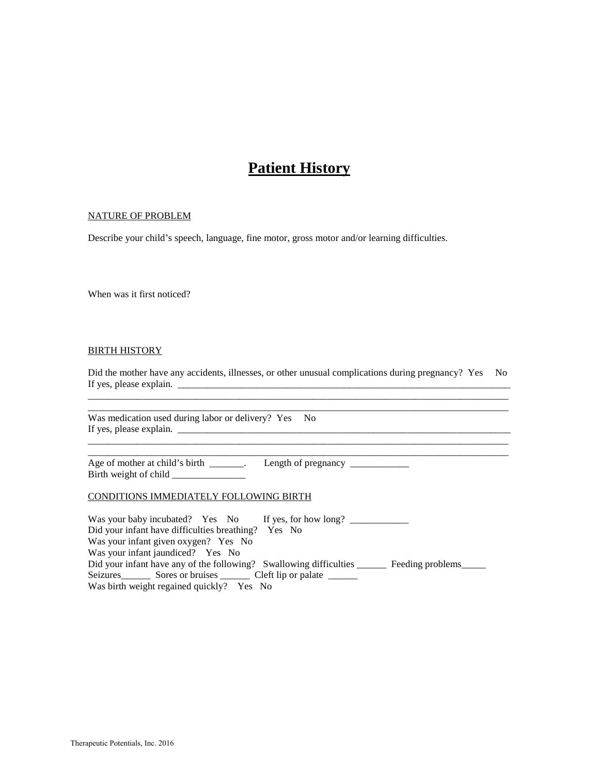# **Patient History**

#### NATURE OF PROBLEM

Describe your child's speech, language, fine motor, gross motor and/or learning difficulties.

When was it first noticed?

#### BIRTH HISTORY

Did the mother have any accidents, illnesses, or other unusual complications during pregnancy? Yes No If yes, please explain.

\_\_\_\_\_\_\_\_\_\_\_\_\_\_\_\_\_\_\_\_\_\_\_\_\_\_\_\_\_\_\_\_\_\_\_\_\_\_\_\_\_\_\_\_\_\_\_\_\_\_\_\_\_\_\_\_\_\_\_\_\_\_\_\_\_\_\_\_\_\_\_\_\_\_\_\_\_\_\_\_\_\_\_\_\_\_

\_\_\_\_\_\_\_\_\_\_\_\_\_\_\_\_\_\_\_\_\_\_\_\_\_\_\_\_\_\_\_\_\_\_\_\_\_\_\_\_\_\_\_\_\_\_\_\_\_\_\_\_\_\_\_\_\_\_\_\_\_\_\_\_\_\_\_\_\_\_\_\_\_\_\_\_\_\_\_\_\_\_\_\_\_\_

Was medication used during labor or delivery? Yes No If yes, please explain. \_\_\_\_\_\_\_\_\_\_\_\_\_\_\_\_\_\_\_\_\_\_\_\_\_\_\_\_\_\_\_\_\_\_\_\_\_\_\_\_\_\_\_\_\_\_\_\_\_\_\_\_\_\_\_\_\_\_\_\_\_\_\_\_\_\_\_\_

Age of mother at child's birth \_\_\_\_\_\_\_. Length of pregnancy \_\_\_\_\_\_\_\_\_\_\_\_\_\_ Birth weight of child

## CONDITIONS IMMEDIATELY FOLLOWING BIRTH

Was your baby incubated? Yes No If yes, for how long? \_\_\_\_\_\_\_\_\_\_\_\_\_\_\_\_\_\_\_\_\_\_\_\_\_\_ Did your infant have difficulties breathing? Yes No Was your infant given oxygen? Yes No Was your infant jaundiced? Yes No Did your infant have any of the following? Swallowing difficulties \_\_\_\_\_\_\_ Feeding problems\_\_\_\_\_ Seizures \_\_\_\_\_\_\_\_\_ Sores or bruises \_\_\_\_\_\_\_\_\_ Cleft lip or palate \_\_\_\_\_\_\_\_ Was birth weight regained quickly? Yes No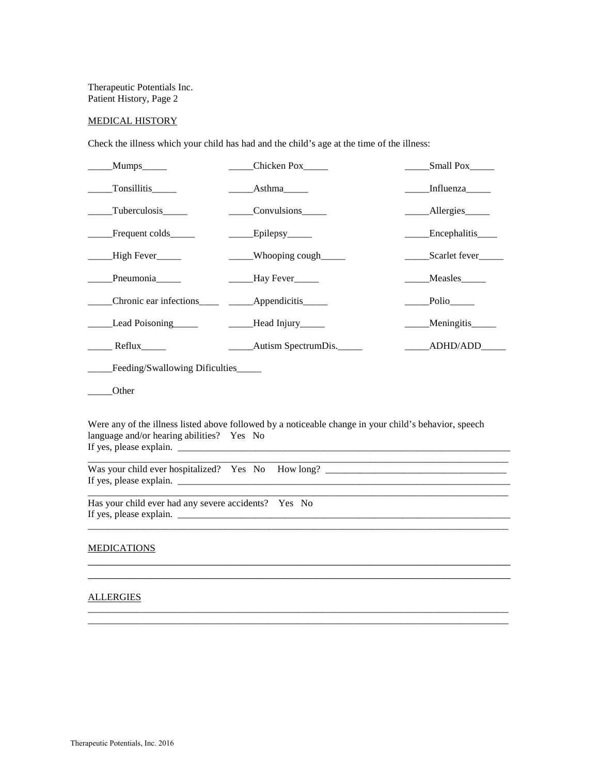#### MEDICAL HISTORY

Check the illness which your child has had and the child's age at the time of the illness:

| Mumps_____                     | Chicken Pox                                             | Small Pox_____         |
|--------------------------------|---------------------------------------------------------|------------------------|
| Tonsillitis                    | Asthma                                                  | Influenza              |
| Tuberculosis                   | Convulsions                                             | Allergies              |
| Frequent colds_____            | _____Epilepsy_____                                      | _____Encephalitis_____ |
| High Fever                     | ____Whooping cough____                                  | Scarlet fever          |
| Pneumonia                      | _____Hay Fever_____                                     | Measles                |
|                                | Chronic ear infections ______ ______Appendicitis ______ | Polio_____             |
| Lead Poisoning                 | ____Head Injury_____                                    | Meningitis_____        |
|                                | Autism SpectrumDis.                                     | ______ADHD/ADD_____    |
| Feeding/Swallowing Dificulties |                                                         |                        |
| Other                          |                                                         |                        |

Were any of the illness listed above followed by a noticeable change in your child's behavior, speech language and/or hearing abilities? Yes No If yes, please explain.  $\Box$ 

\_\_\_\_\_\_\_\_\_\_\_\_\_\_\_\_\_\_\_\_\_\_\_\_\_\_\_\_\_\_\_\_\_\_\_\_\_\_\_\_\_\_\_\_\_\_\_\_\_\_\_\_\_\_\_\_\_\_\_\_\_\_\_\_\_\_\_\_\_\_\_\_\_\_\_\_\_\_\_\_\_\_\_\_\_\_ Was your child ever hospitalized? Yes No How long? \_\_\_\_\_\_\_\_\_\_\_\_\_\_\_\_\_\_\_\_\_\_\_\_\_\_\_\_\_ If yes, please explain. \_\_\_\_\_\_\_\_\_\_\_\_\_\_\_\_\_\_\_\_\_\_\_\_\_\_\_\_\_\_\_\_\_\_\_\_\_\_\_\_\_\_\_\_\_\_\_\_\_\_\_\_\_\_\_\_\_\_\_\_\_\_\_\_\_\_\_\_ \_\_\_\_\_\_\_\_\_\_\_\_\_\_\_\_\_\_\_\_\_\_\_\_\_\_\_\_\_\_\_\_\_\_\_\_\_\_\_\_\_\_\_\_\_\_\_\_\_\_\_\_\_\_\_\_\_\_\_\_\_\_\_\_\_\_\_\_\_\_\_\_\_\_\_\_\_\_\_\_\_\_\_\_\_\_

\_\_\_\_\_\_\_\_\_\_\_\_\_\_\_\_\_\_\_\_\_\_\_\_\_\_\_\_\_\_\_\_\_\_\_\_\_\_\_\_\_\_\_\_\_\_\_\_\_\_\_\_\_\_\_\_\_\_\_\_\_\_\_\_\_\_\_\_\_\_\_\_\_\_\_\_\_\_\_\_\_\_\_\_\_\_

\_\_\_\_\_\_\_\_\_\_\_\_\_\_\_\_\_\_\_\_\_\_\_\_\_\_\_\_\_\_\_\_\_\_\_\_\_\_\_\_\_\_\_\_\_\_\_\_\_\_\_\_\_\_\_\_\_\_\_\_\_\_\_\_\_\_\_\_\_\_\_\_ \_\_\_\_\_\_\_\_\_\_\_\_\_\_\_\_\_\_\_\_\_\_\_\_\_\_\_\_\_\_\_\_\_\_\_\_\_\_\_\_\_\_\_\_\_\_\_\_\_\_\_\_\_\_\_\_\_\_\_\_\_\_\_\_\_\_\_\_\_\_\_\_

\_\_\_\_\_\_\_\_\_\_\_\_\_\_\_\_\_\_\_\_\_\_\_\_\_\_\_\_\_\_\_\_\_\_\_\_\_\_\_\_\_\_\_\_\_\_\_\_\_\_\_\_\_\_\_\_\_\_\_\_\_\_\_\_\_\_\_\_\_\_\_\_\_\_\_\_\_\_\_\_\_\_\_\_\_\_ \_\_\_\_\_\_\_\_\_\_\_\_\_\_\_\_\_\_\_\_\_\_\_\_\_\_\_\_\_\_\_\_\_\_\_\_\_\_\_\_\_\_\_\_\_\_\_\_\_\_\_\_\_\_\_\_\_\_\_\_\_\_\_\_\_\_\_\_\_\_\_\_\_\_\_\_\_\_\_\_\_\_\_\_\_\_

Has your child ever had any severe accidents? Yes No If yes, please explain. \_\_\_\_\_\_\_\_\_\_\_\_\_\_\_\_\_\_\_\_\_\_\_\_\_\_\_\_\_\_\_\_\_\_\_\_\_\_\_\_\_\_\_\_\_\_\_\_\_\_\_\_\_\_\_\_\_\_\_\_\_\_\_\_\_\_\_\_

### **MEDICATIONS**

#### **ALLERGIES**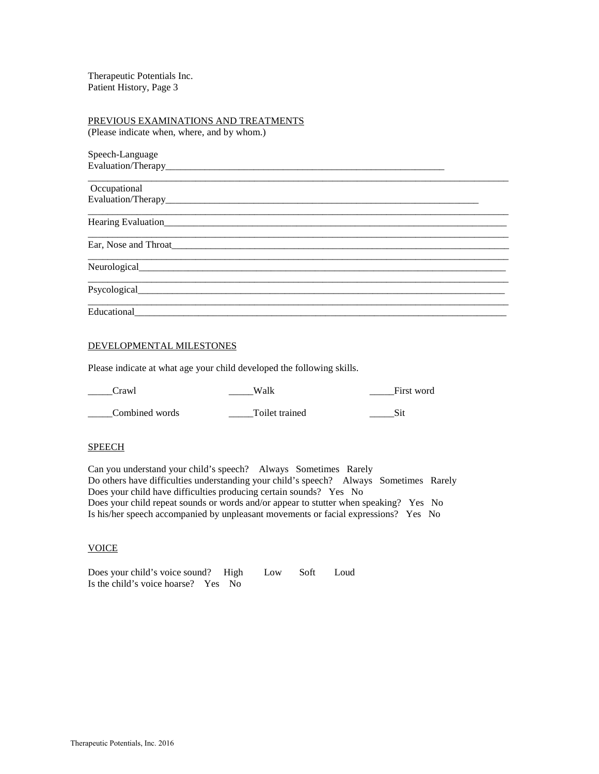PREVIOUS EXAMINATIONS AND TREATMENTS

(Please indicate when, where, and by whom.)

Speech-Language Evaluation/Therapy

Occupational Evaluation/Therapy\_\_\_\_\_\_\_\_\_\_\_\_\_\_\_\_\_\_\_\_\_\_\_\_\_\_\_\_\_\_\_\_\_\_\_\_\_\_\_\_\_\_\_\_\_\_\_\_\_\_\_\_\_\_\_\_\_\_\_\_\_\_\_\_

\_\_\_\_\_\_\_\_\_\_\_\_\_\_\_\_\_\_\_\_\_\_\_\_\_\_\_\_\_\_\_\_\_\_\_\_\_\_\_\_\_\_\_\_\_\_\_\_\_\_\_\_\_\_\_\_\_\_\_\_\_\_\_\_\_\_\_\_\_\_\_\_\_\_\_\_\_\_\_\_\_\_\_\_\_\_ Hearing Evaluation

\_\_\_\_\_\_\_\_\_\_\_\_\_\_\_\_\_\_\_\_\_\_\_\_\_\_\_\_\_\_\_\_\_\_\_\_\_\_\_\_\_\_\_\_\_\_\_\_\_\_\_\_\_\_\_\_\_\_\_\_\_\_\_\_\_\_\_\_\_\_\_\_\_\_\_\_\_\_\_\_\_\_\_\_\_\_ Ear, Nose and Throat\_\_\_\_\_\_\_\_\_\_\_\_\_\_\_\_\_\_\_\_\_\_\_\_\_\_\_\_\_\_\_\_\_\_\_\_\_\_\_\_\_\_\_\_\_\_\_\_\_\_\_\_\_\_\_\_\_\_\_\_\_\_\_\_\_\_\_\_\_

Neurological\_\_\_\_\_\_\_\_\_\_\_\_\_\_\_\_\_\_\_\_\_\_\_\_\_\_\_\_\_\_\_\_\_\_\_\_\_\_\_\_\_\_\_\_\_\_\_\_\_\_\_\_\_\_\_\_\_\_\_\_\_\_\_\_\_\_\_\_\_\_\_\_\_\_\_

Psycological\_\_\_\_\_\_\_\_\_\_\_\_\_\_\_\_\_\_\_\_\_\_\_\_\_\_\_\_\_\_\_\_\_\_\_\_\_\_\_\_\_\_\_\_\_\_\_\_\_\_\_\_\_\_\_\_\_\_\_\_\_\_\_\_\_\_\_\_\_\_\_\_\_\_\_

Educational

### DEVELOPMENTAL MILESTONES

Please indicate at what age your child developed the following skills.

| `rawl | Wall<br>_________ | ┳.<br>First word<br>________ |
|-------|-------------------|------------------------------|
|       |                   |                              |

\_\_\_\_\_\_\_\_\_\_\_\_\_\_\_\_\_\_\_\_\_\_\_\_\_\_\_\_\_\_\_\_\_\_\_\_\_\_\_\_\_\_\_\_\_\_\_\_\_\_\_\_\_\_\_\_\_\_\_\_\_\_\_\_\_\_\_\_\_\_\_\_\_\_\_\_\_\_\_\_\_\_\_\_\_\_

\_\_\_\_\_\_\_\_\_\_\_\_\_\_\_\_\_\_\_\_\_\_\_\_\_\_\_\_\_\_\_\_\_\_\_\_\_\_\_\_\_\_\_\_\_\_\_\_\_\_\_\_\_\_\_\_\_\_\_\_\_\_\_\_\_\_\_\_\_\_\_\_\_\_\_\_\_\_\_\_\_\_\_\_\_\_

\_\_\_\_\_\_\_\_\_\_\_\_\_\_\_\_\_\_\_\_\_\_\_\_\_\_\_\_\_\_\_\_\_\_\_\_\_\_\_\_\_\_\_\_\_\_\_\_\_\_\_\_\_\_\_\_\_\_\_\_\_\_\_\_\_\_\_\_\_\_\_\_\_\_\_\_\_\_\_\_\_\_\_\_\_\_

\_\_\_\_\_Combined words \_\_\_\_\_Toilet trained \_\_\_\_\_Sit

#### **SPEECH**

Can you understand your child's speech? Always Sometimes Rarely Do others have difficulties understanding your child's speech? Always Sometimes Rarely Does your child have difficulties producing certain sounds? Yes No Does your child repeat sounds or words and/or appear to stutter when speaking? Yes No Is his/her speech accompanied by unpleasant movements or facial expressions? Yes No

#### **VOICE**

| Does your child's voice sound? High |  | Low Soft Loud |  |
|-------------------------------------|--|---------------|--|
| Is the child's voice hoarse? Yes No |  |               |  |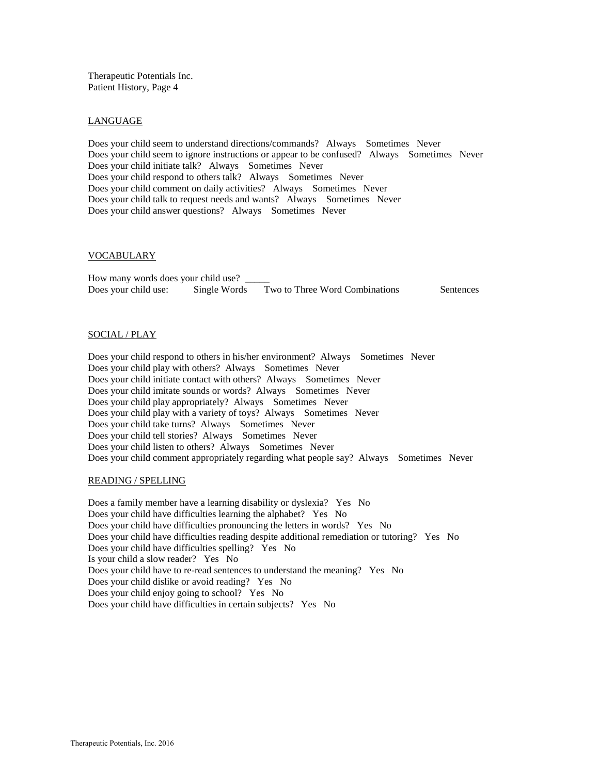### LANGUAGE

Does your child seem to understand directions/commands? Always Sometimes Never Does your child seem to ignore instructions or appear to be confused? Always Sometimes Never Does your child initiate talk? Always Sometimes Never Does your child respond to others talk? Always Sometimes Never Does your child comment on daily activities? Always Sometimes Never Does your child talk to request needs and wants? Always Sometimes Never Does your child answer questions? Always Sometimes Never

#### VOCABULARY

How many words does your child use?<br>Does your child use: Single Words Single Words Two to Three Word Combinations Sentences

#### SOCIAL / PLAY

Does your child respond to others in his/her environment? Always Sometimes Never Does your child play with others? Always Sometimes Never Does your child initiate contact with others? Always Sometimes Never Does your child imitate sounds or words? Always Sometimes Never Does your child play appropriately? Always Sometimes Never Does your child play with a variety of toys? Always Sometimes Never Does your child take turns? Always Sometimes Never Does your child tell stories? Always Sometimes Never Does your child listen to others? Always Sometimes Never Does your child comment appropriately regarding what people say? Always Sometimes Never

#### READING / SPELLING

Does a family member have a learning disability or dyslexia? Yes No Does your child have difficulties learning the alphabet? Yes No Does your child have difficulties pronouncing the letters in words? Yes No Does your child have difficulties reading despite additional remediation or tutoring? Yes No Does your child have difficulties spelling? Yes No Is your child a slow reader? Yes No Does your child have to re-read sentences to understand the meaning? Yes No Does your child dislike or avoid reading? Yes No Does your child enjoy going to school? Yes No Does your child have difficulties in certain subjects? Yes No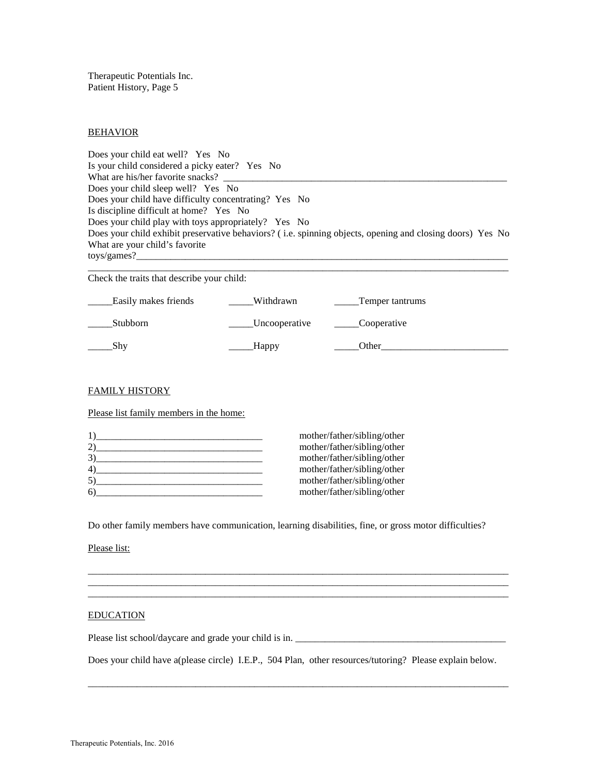## BEHAVIOR

| Does your child eat well? Yes No                                                                          |
|-----------------------------------------------------------------------------------------------------------|
| Is your child considered a picky eater? Yes No                                                            |
| What are his/her favorite snacks?                                                                         |
| Does your child sleep well? Yes No                                                                        |
| Does your child have difficulty concentrating? Yes No                                                     |
| Is discipline difficult at home? Yes No                                                                   |
| Does your child play with toys appropriately? Yes No                                                      |
| Does your child exhibit preservative behaviors? (i.e. spinning objects, opening and closing doors) Yes No |
| What are your child's favorite                                                                            |
| toys/games?                                                                                               |

\_\_\_\_\_\_\_\_\_\_\_\_\_\_\_\_\_\_\_\_\_\_\_\_\_\_\_\_\_\_\_\_\_\_\_\_\_\_\_\_\_\_\_\_\_\_\_\_\_\_\_\_\_\_\_\_\_\_\_\_\_\_\_\_\_\_\_\_\_\_\_\_\_\_\_\_\_\_\_\_\_\_\_\_\_\_

Check the traits that describe your child: Letter U.S. and S. Letter Monday, Easily makes friends and Michael Michael Michael Michael Michael Michael Mich \_\_\_\_\_Stubborn \_\_\_\_\_Uncooperative \_\_\_\_\_Cooperative \_\_\_\_\_Shy \_\_\_\_\_Happy \_\_\_\_\_Other\_\_\_\_\_\_\_\_\_\_\_\_\_\_\_\_\_\_\_\_\_\_\_\_\_\_

## FAMILY HISTORY

Please list family members in the home:

|    | mother/father/sibling/other |
|----|-----------------------------|
|    | mother/father/sibling/other |
| 3  | mother/father/sibling/other |
| 4  | mother/father/sibling/other |
| 5  | mother/father/sibling/other |
| 6) | mother/father/sibling/other |

Do other family members have communication, learning disabilities, fine, or gross motor difficulties?

\_\_\_\_\_\_\_\_\_\_\_\_\_\_\_\_\_\_\_\_\_\_\_\_\_\_\_\_\_\_\_\_\_\_\_\_\_\_\_\_\_\_\_\_\_\_\_\_\_\_\_\_\_\_\_\_\_\_\_\_\_\_\_\_\_\_\_\_\_\_\_\_\_\_\_\_\_\_\_\_\_\_\_\_\_\_ \_\_\_\_\_\_\_\_\_\_\_\_\_\_\_\_\_\_\_\_\_\_\_\_\_\_\_\_\_\_\_\_\_\_\_\_\_\_\_\_\_\_\_\_\_\_\_\_\_\_\_\_\_\_\_\_\_\_\_\_\_\_\_\_\_\_\_\_\_\_\_\_\_\_\_\_\_\_\_\_\_\_\_\_\_\_ \_\_\_\_\_\_\_\_\_\_\_\_\_\_\_\_\_\_\_\_\_\_\_\_\_\_\_\_\_\_\_\_\_\_\_\_\_\_\_\_\_\_\_\_\_\_\_\_\_\_\_\_\_\_\_\_\_\_\_\_\_\_\_\_\_\_\_\_\_\_\_\_\_\_\_\_\_\_\_\_\_\_\_\_\_\_

Please list:

## EDUCATION

Please list school/daycare and grade your child is in. \_\_\_\_\_\_\_\_\_\_\_\_\_\_\_\_\_\_\_\_\_\_\_\_\_\_\_\_\_\_\_\_\_\_\_\_\_\_\_\_\_\_\_

Does your child have a(please circle) I.E.P., 504 Plan, other resources/tutoring? Please explain below.

\_\_\_\_\_\_\_\_\_\_\_\_\_\_\_\_\_\_\_\_\_\_\_\_\_\_\_\_\_\_\_\_\_\_\_\_\_\_\_\_\_\_\_\_\_\_\_\_\_\_\_\_\_\_\_\_\_\_\_\_\_\_\_\_\_\_\_\_\_\_\_\_\_\_\_\_\_\_\_\_\_\_\_\_\_\_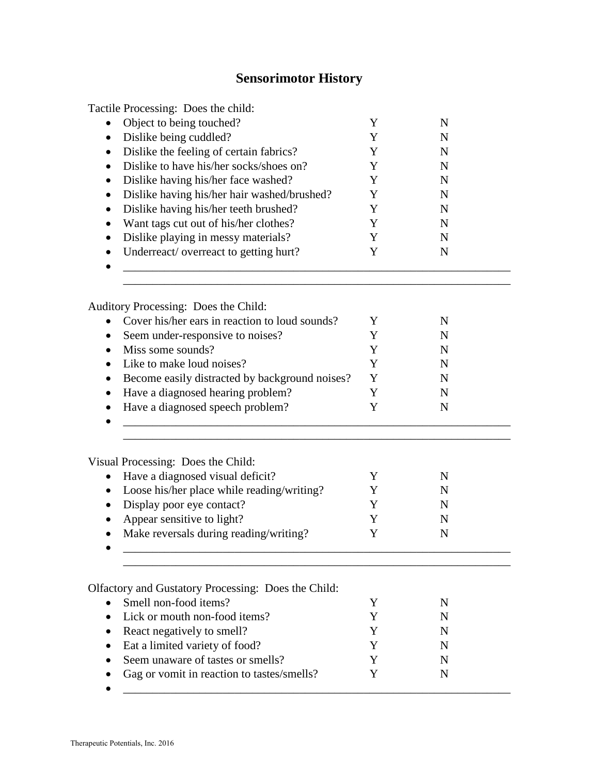## **Sensorimotor History**

Tactile Processing: Does the child:

| Object to being touched?                    | N |  |
|---------------------------------------------|---|--|
| Dislike being cuddled?                      | N |  |
| Dislike the feeling of certain fabrics?     | N |  |
| Dislike to have his/her socks/shoes on?     | N |  |
| Dislike having his/her face washed?         | N |  |
| Dislike having his/her hair washed/brushed? | N |  |
| Dislike having his/her teeth brushed?       | N |  |
| Want tags cut out of his/her clothes?       | N |  |
| Dislike playing in messy materials?         | N |  |
| Underreact/overreact to getting hurt?       | N |  |
|                                             |   |  |

Auditory Processing: Does the Child:

| Y |  |
|---|--|
|   |  |
|   |  |
|   |  |

\_\_\_\_\_\_\_\_\_\_\_\_\_\_\_\_\_\_\_\_\_\_\_\_\_\_\_\_\_\_\_\_\_\_\_\_\_\_\_\_\_\_\_\_\_\_\_\_\_\_\_\_\_\_\_\_\_\_\_\_\_\_\_\_\_\_

## Visual Processing: Does the Child:

| • Have a diagnosed visual deficit?                  |  |  |
|-----------------------------------------------------|--|--|
| • Loose his/her place while reading/writing?        |  |  |
| • Display poor eye contact?                         |  |  |
| Appear sensitive to light?<br>$\bullet$             |  |  |
| Make reversals during reading/writing?<br>$\bullet$ |  |  |
|                                                     |  |  |

## Olfactory and Gustatory Processing: Does the Child:

| Smell non-food items?                      |   |  |
|--------------------------------------------|---|--|
| • Lick or mouth non-food items?            | Y |  |
| • React negatively to smell?               | Y |  |
| • Eat a limited variety of food?           | V |  |
| Seem unaware of tastes or smells?          |   |  |
| Gag or vomit in reaction to tastes/smells? |   |  |
|                                            |   |  |